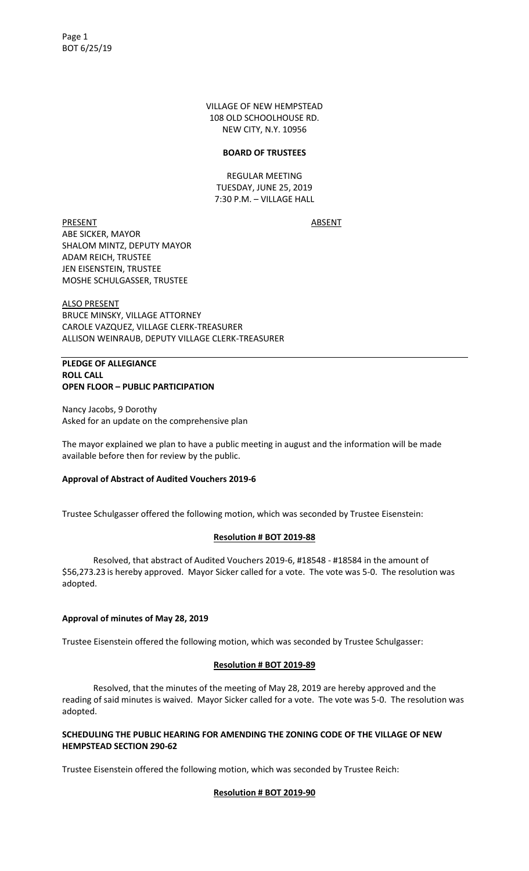VILLAGE OF NEW HEMPSTEAD 108 OLD SCHOOLHOUSE RD. NEW CITY, N.Y. 10956

#### **BOARD OF TRUSTEES**

REGULAR MEETING TUESDAY, JUNE 25, 2019 7:30 P.M. – VILLAGE HALL

PRESENT ABSENT ABE SICKER, MAYOR SHALOM MINTZ, DEPUTY MAYOR ADAM REICH, TRUSTEE JEN EISENSTEIN, TRUSTEE MOSHE SCHULGASSER, TRUSTEE

ALSO PRESENT BRUCE MINSKY, VILLAGE ATTORNEY CAROLE VAZQUEZ, VILLAGE CLERK-TREASURER ALLISON WEINRAUB, DEPUTY VILLAGE CLERK-TREASURER

#### **PLEDGE OF ALLEGIANCE ROLL CALL OPEN FLOOR – PUBLIC PARTICIPATION**

Nancy Jacobs, 9 Dorothy Asked for an update on the comprehensive plan

The mayor explained we plan to have a public meeting in august and the information will be made available before then for review by the public.

#### **Approval of Abstract of Audited Vouchers 2019-6**

Trustee Schulgasser offered the following motion, which was seconded by Trustee Eisenstein:

#### **Resolution # BOT 2019-88**

Resolved, that abstract of Audited Vouchers 2019-6, #18548 - #18584 in the amount of \$56,273.23 is hereby approved. Mayor Sicker called for a vote. The vote was 5-0. The resolution was adopted.

#### **Approval of minutes of May 28, 2019**

Trustee Eisenstein offered the following motion, which was seconded by Trustee Schulgasser:

#### **Resolution # BOT 2019-89**

Resolved, that the minutes of the meeting of May 28, 2019 are hereby approved and the reading of said minutes is waived. Mayor Sicker called for a vote. The vote was 5-0. The resolution was adopted.

#### **SCHEDULING THE PUBLIC HEARING FOR AMENDING THE ZONING CODE OF THE VILLAGE OF NEW HEMPSTEAD SECTION 290-62**

Trustee Eisenstein offered the following motion, which was seconded by Trustee Reich:

#### **Resolution # BOT 2019-90**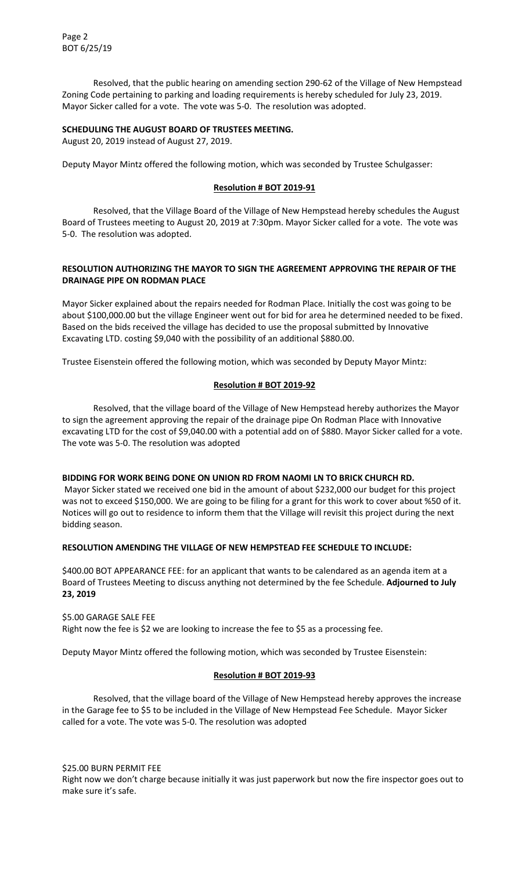Resolved, that the public hearing on amending section 290-62 of the Village of New Hempstead Zoning Code pertaining to parking and loading requirements is hereby scheduled for July 23, 2019. Mayor Sicker called for a vote. The vote was 5-0. The resolution was adopted.

#### **SCHEDULING THE AUGUST BOARD OF TRUSTEES MEETING.**

August 20, 2019 instead of August 27, 2019.

Deputy Mayor Mintz offered the following motion, which was seconded by Trustee Schulgasser:

#### **Resolution # BOT 2019-91**

Resolved, that the Village Board of the Village of New Hempstead hereby schedules the August Board of Trustees meeting to August 20, 2019 at 7:30pm. Mayor Sicker called for a vote. The vote was 5-0. The resolution was adopted.

#### **RESOLUTION AUTHORIZING THE MAYOR TO SIGN THE AGREEMENT APPROVING THE REPAIR OF THE DRAINAGE PIPE ON RODMAN PLACE**

Mayor Sicker explained about the repairs needed for Rodman Place. Initially the cost was going to be about \$100,000.00 but the village Engineer went out for bid for area he determined needed to be fixed. Based on the bids received the village has decided to use the proposal submitted by Innovative Excavating LTD. costing \$9,040 with the possibility of an additional \$880.00.

Trustee Eisenstein offered the following motion, which was seconded by Deputy Mayor Mintz:

#### **Resolution # BOT 2019-92**

Resolved, that the village board of the Village of New Hempstead hereby authorizes the Mayor to sign the agreement approving the repair of the drainage pipe On Rodman Place with Innovative excavating LTD for the cost of \$9,040.00 with a potential add on of \$880. Mayor Sicker called for a vote. The vote was 5-0. The resolution was adopted

#### **BIDDING FOR WORK BEING DONE ON UNION RD FROM NAOMI LN TO BRICK CHURCH RD.**

Mayor Sicker stated we received one bid in the amount of about \$232,000 our budget for this project was not to exceed \$150,000. We are going to be filing for a grant for this work to cover about %50 of it. Notices will go out to residence to inform them that the Village will revisit this project during the next bidding season.

#### **RESOLUTION AMENDING THE VILLAGE OF NEW HEMPSTEAD FEE SCHEDULE TO INCLUDE:**

\$400.00 BOT APPEARANCE FEE: for an applicant that wants to be calendared as an agenda item at a Board of Trustees Meeting to discuss anything not determined by the fee Schedule. **Adjourned to July 23, 2019**

#### \$5.00 GARAGE SALE FEE Right now the fee is \$2 we are looking to increase the fee to \$5 as a processing fee.

Deputy Mayor Mintz offered the following motion, which was seconded by Trustee Eisenstein:

#### **Resolution # BOT 2019-93**

Resolved, that the village board of the Village of New Hempstead hereby approves the increase in the Garage fee to \$5 to be included in the Village of New Hempstead Fee Schedule. Mayor Sicker called for a vote. The vote was 5-0. The resolution was adopted

\$25.00 BURN PERMIT FEE Right now we don't charge because initially it was just paperwork but now the fire inspector goes out to make sure it's safe.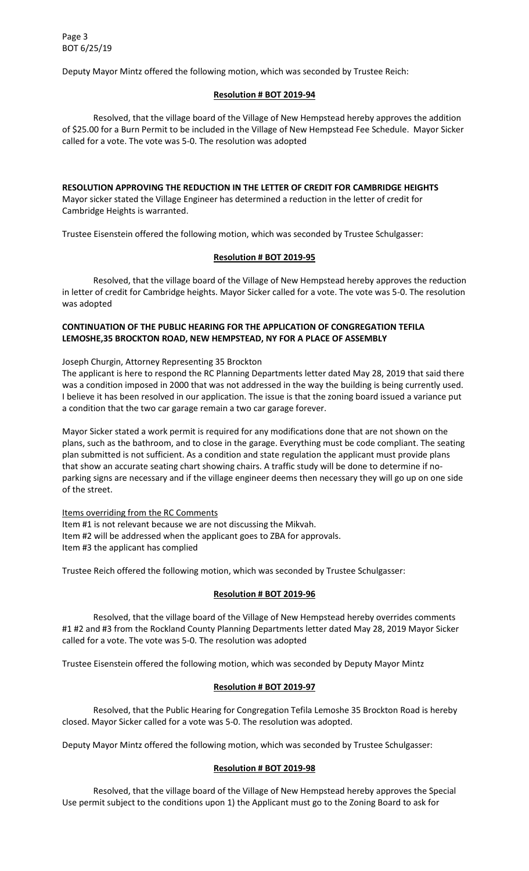Deputy Mayor Mintz offered the following motion, which was seconded by Trustee Reich:

#### **Resolution # BOT 2019-94**

Resolved, that the village board of the Village of New Hempstead hereby approves the addition of \$25.00 for a Burn Permit to be included in the Village of New Hempstead Fee Schedule. Mayor Sicker called for a vote. The vote was 5-0. The resolution was adopted

#### **RESOLUTION APPROVING THE REDUCTION IN THE LETTER OF CREDIT FOR CAMBRIDGE HEIGHTS**

Mayor sicker stated the Village Engineer has determined a reduction in the letter of credit for Cambridge Heights is warranted.

Trustee Eisenstein offered the following motion, which was seconded by Trustee Schulgasser:

#### **Resolution # BOT 2019-95**

Resolved, that the village board of the Village of New Hempstead hereby approves the reduction in letter of credit for Cambridge heights. Mayor Sicker called for a vote. The vote was 5-0. The resolution was adopted

## **CONTINUATION OF THE PUBLIC HEARING FOR THE APPLICATION OF CONGREGATION TEFILA LEMOSHE,35 BROCKTON ROAD, NEW HEMPSTEAD, NY FOR A PLACE OF ASSEMBLY**

Joseph Churgin, Attorney Representing 35 Brockton

The applicant is here to respond the RC Planning Departments letter dated May 28, 2019 that said there was a condition imposed in 2000 that was not addressed in the way the building is being currently used. I believe it has been resolved in our application. The issue is that the zoning board issued a variance put a condition that the two car garage remain a two car garage forever.

Mayor Sicker stated a work permit is required for any modifications done that are not shown on the plans, such as the bathroom, and to close in the garage. Everything must be code compliant. The seating plan submitted is not sufficient. As a condition and state regulation the applicant must provide plans that show an accurate seating chart showing chairs. A traffic study will be done to determine if noparking signs are necessary and if the village engineer deems then necessary they will go up on one side of the street.

Items overriding from the RC Comments Item #1 is not relevant because we are not discussing the Mikvah. Item #2 will be addressed when the applicant goes to ZBA for approvals. Item #3 the applicant has complied

Trustee Reich offered the following motion, which was seconded by Trustee Schulgasser:

## **Resolution # BOT 2019-96**

Resolved, that the village board of the Village of New Hempstead hereby overrides comments #1 #2 and #3 from the Rockland County Planning Departments letter dated May 28, 2019 Mayor Sicker called for a vote. The vote was 5-0. The resolution was adopted

Trustee Eisenstein offered the following motion, which was seconded by Deputy Mayor Mintz

#### **Resolution # BOT 2019-97**

Resolved, that the Public Hearing for Congregation Tefila Lemoshe 35 Brockton Road is hereby closed. Mayor Sicker called for a vote was 5-0. The resolution was adopted.

Deputy Mayor Mintz offered the following motion, which was seconded by Trustee Schulgasser:

#### **Resolution # BOT 2019-98**

Resolved, that the village board of the Village of New Hempstead hereby approves the Special Use permit subject to the conditions upon 1) the Applicant must go to the Zoning Board to ask for